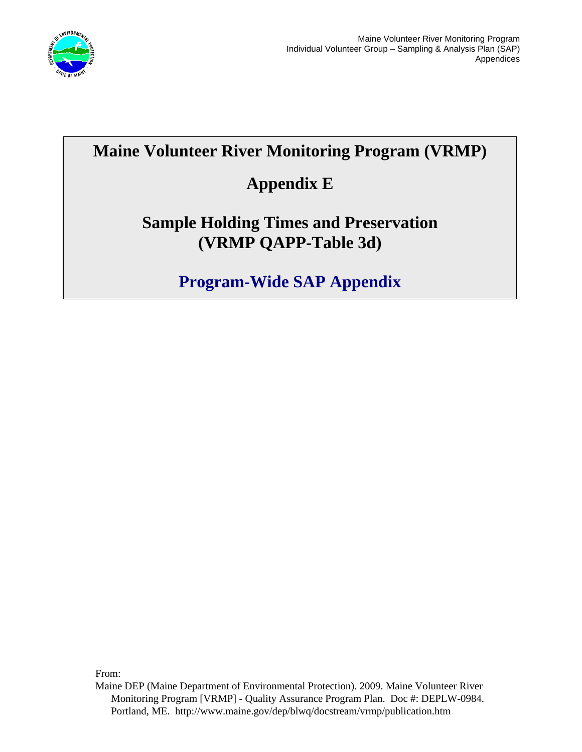

# **Maine Volunteer River Monitoring Program (VRMP)**

# **Appendix E**

### **Sample Holding Times and Preservation (VRMP QAPP-Table 3d)**

# **Program-Wide SAP Appendix**

From:

Maine DEP (Maine Department of Environmental Protection). 2009. Maine Volunteer River Monitoring Program [VRMP] - Quality Assurance Program Plan. Doc #: DEPLW-0984. Portland, ME. http://www.maine.gov/dep/blwq/docstream/vrmp/publication.htm